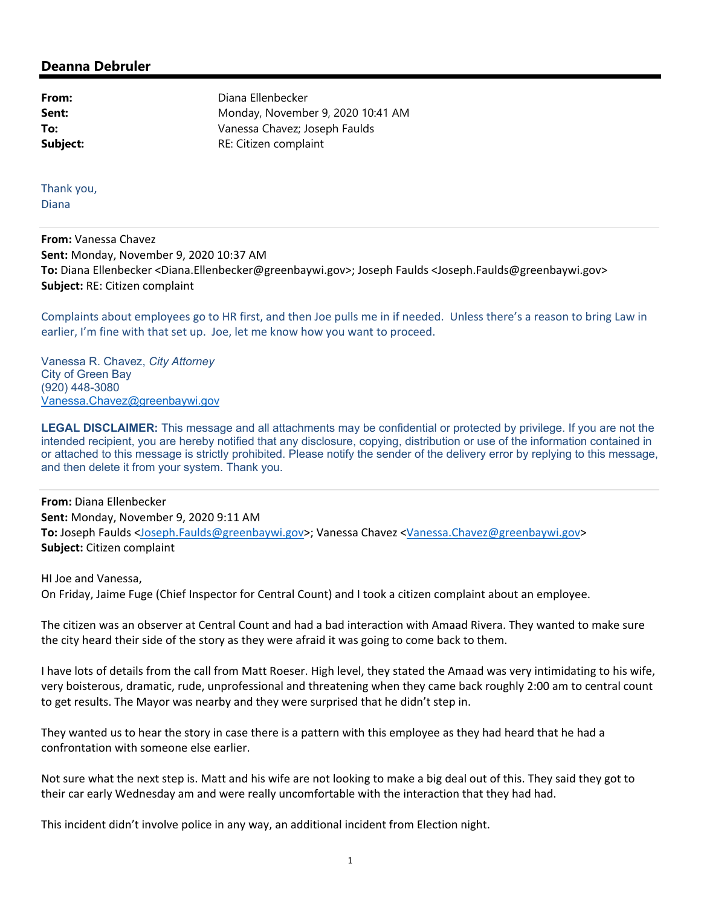## **Deanna Debruler**

**From:** Diana Ellenbecker **Sent:** Monday, November 9, 2020 10:41 AM **To:** Vanessa Chavez; Joseph Faulds **Subject:** RE: Citizen complaint

Thank you, Diana

**From:** Vanessa Chavez **Sent:** Monday, November 9, 2020 10:37 AM **To:** Diana Ellenbecker <Diana.Ellenbecker@greenbaywi.gov>; Joseph Faulds <Joseph.Faulds@greenbaywi.gov> **Subject:** RE: Citizen complaint

Complaints about employees go to HR first, and then Joe pulls me in if needed. Unless there's a reason to bring Law in earlier, I'm fine with that set up. Joe, let me know how you want to proceed.

Vanessa R. Chavez, *City Attorney*  City of Green Bay (920) 448-3080 Vanessa.Chavez@greenbaywi.gov

**LEGAL DISCLAIMER:** This message and all attachments may be confidential or protected by privilege. If you are not the intended recipient, you are hereby notified that any disclosure, copying, distribution or use of the information contained in or attached to this message is strictly prohibited. Please notify the sender of the delivery error by replying to this message, and then delete it from your system. Thank you.

**From:** Diana Ellenbecker **Sent:** Monday, November 9, 2020 9:11 AM **To:** Joseph Faulds <Joseph.Faulds@greenbaywi.gov>; Vanessa Chavez <Vanessa.Chavez@greenbaywi.gov> **Subject:** Citizen complaint

HI Joe and Vanessa, On Friday, Jaime Fuge (Chief Inspector for Central Count) and I took a citizen complaint about an employee.

The citizen was an observer at Central Count and had a bad interaction with Amaad Rivera. They wanted to make sure the city heard their side of the story as they were afraid it was going to come back to them.

I have lots of details from the call from Matt Roeser. High level, they stated the Amaad was very intimidating to his wife, very boisterous, dramatic, rude, unprofessional and threatening when they came back roughly 2:00 am to central count to get results. The Mayor was nearby and they were surprised that he didn't step in.

They wanted us to hear the story in case there is a pattern with this employee as they had heard that he had a confrontation with someone else earlier.

Not sure what the next step is. Matt and his wife are not looking to make a big deal out of this. They said they got to their car early Wednesday am and were really uncomfortable with the interaction that they had had.

This incident didn't involve police in any way, an additional incident from Election night.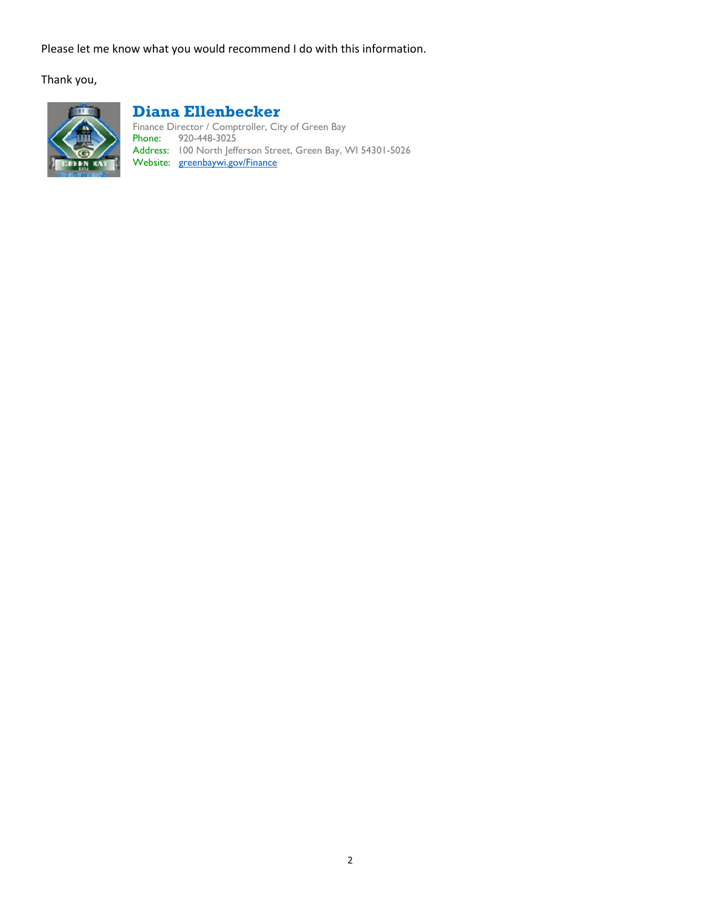Please let me know what you would recommend I do with this information.

Thank you,



## **Diana Ellenbecker**

Finance Director / Comptroller, City of Green Bay Phone: 920-448-3025 Address: 100 North Jefferson Street, Green Bay, WI 54301-5026 Website: greenbaywi.gov/Finance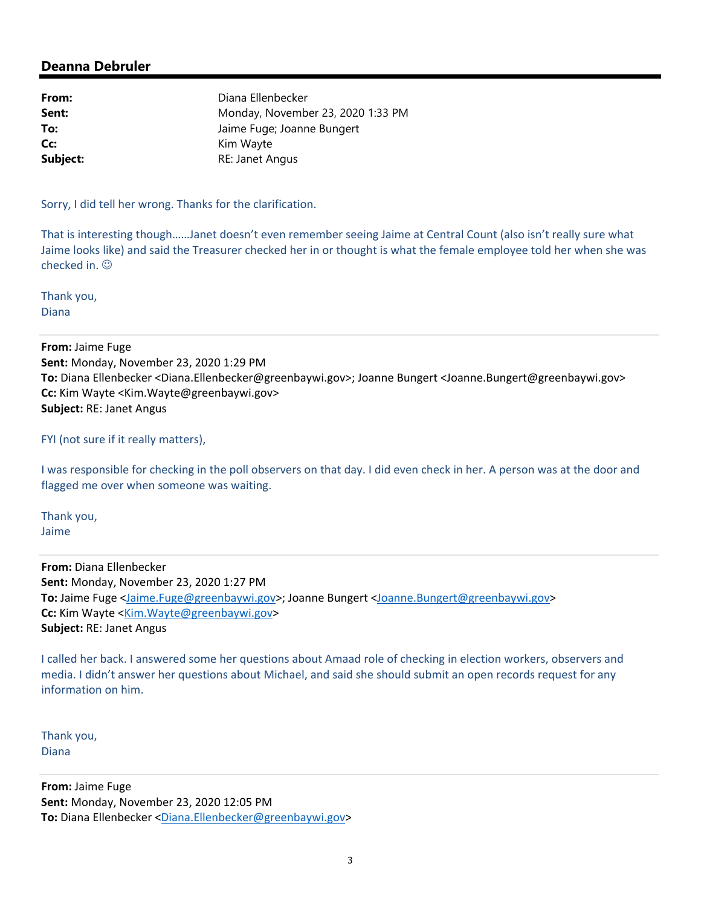## **Deanna Debruler**

| From:    | Diana Ellenbecker                 |
|----------|-----------------------------------|
| Sent:    | Monday, November 23, 2020 1:33 PM |
| To:      | Jaime Fuge; Joanne Bungert        |
| Cc:      | Kim Wayte                         |
| Subject: | RE: Janet Angus                   |

Sorry, I did tell her wrong. Thanks for the clarification.

That is interesting though……Janet doesn't even remember seeing Jaime at Central Count (also isn't really sure what Jaime looks like) and said the Treasurer checked her in or thought is what the female employee told her when she was checked in.

Thank you, Diana

**From:** Jaime Fuge **Sent:** Monday, November 23, 2020 1:29 PM **To:** Diana Ellenbecker <Diana.Ellenbecker@greenbaywi.gov>; Joanne Bungert <Joanne.Bungert@greenbaywi.gov> **Cc:** Kim Wayte <Kim.Wayte@greenbaywi.gov> **Subject:** RE: Janet Angus

FYI (not sure if it really matters),

I was responsible for checking in the poll observers on that day. I did even check in her. A person was at the door and flagged me over when someone was waiting.

Thank you, Jaime

**From:** Diana Ellenbecker **Sent:** Monday, November 23, 2020 1:27 PM **To:** Jaime Fuge <Jaime.Fuge@greenbaywi.gov>; Joanne Bungert <Joanne.Bungert@greenbaywi.gov> **Cc:** Kim Wayte < Kim. Wayte@greenbaywi.gov> **Subject:** RE: Janet Angus

I called her back. I answered some her questions about Amaad role of checking in election workers, observers and media. I didn't answer her questions about Michael, and said she should submit an open records request for any information on him.

Thank you, Diana

**From:** Jaime Fuge **Sent:** Monday, November 23, 2020 12:05 PM **To:** Diana Ellenbecker <Diana.Ellenbecker@greenbaywi.gov>